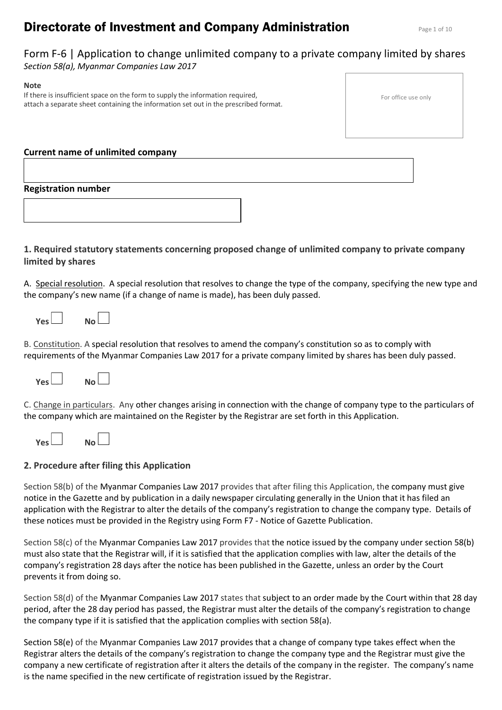# **Directorate of Investment and Company Administration** Page 1 of 10

# Form F-6 | Application to change unlimited company to a private company limited by shares *Section 58(a), Myanmar Companies Law 2017*

#### **Note** If there is insufficient space on the form to supply the information required, attach a separate sheet containing the information set out in the prescribed format.

|  | For office use only |  |  |  |
|--|---------------------|--|--|--|
|--|---------------------|--|--|--|

# **Current name of unlimited company**

# **Registration number**

# **1. Required statutory statements concerning proposed change of unlimited company to private company limited by shares**

A. Special resolution. A special resolution that resolves to change the type of the company, specifying the new type and the company's new name (if a change of name is made), has been duly passed.

| <b>Yes</b> | No l |  |
|------------|------|--|
|------------|------|--|

B. Constitution. A special resolution that resolves to amend the company's constitution so as to comply with requirements of the Myanmar Companies Law 2017 for a private company limited by shares has been duly passed.



C. Change in particulars. Any other changes arising in connection with the change of company type to the particulars of the company which are maintained on the Register by the Registrar are set forth in this Application.

| Yes l | No l |
|-------|------|
|-------|------|

# **2. Procedure after filing this Application**

Section 58(b) of the Myanmar Companies Law 2017 provides that after filing this Application, the company must give notice in the Gazette and by publication in a daily newspaper circulating generally in the Union that it has filed an application with the Registrar to alter the details of the company's registration to change the company type. Details of these notices must be provided in the Registry using Form F7 - Notice of Gazette Publication.

Section 58(c) of the Myanmar Companies Law 2017 provides that the notice issued by the company under section 58(b) must also state that the Registrar will, if it is satisfied that the application complies with law, alter the details of the company's registration 28 days after the notice has been published in the Gazette, unless an order by the Court prevents it from doing so.

Section 58(d) of the Myanmar Companies Law 2017 states that subject to an order made by the Court within that 28 day period, after the 28 day period has passed, the Registrar must alter the details of the company's registration to change the company type if it is satisfied that the application complies with section 58(a).

Section 58(e) of the Myanmar Companies Law 2017 provides that a change of company type takes effect when the Registrar alters the details of the company's registration to change the company type and the Registrar must give the company a new certificate of registration after it alters the details of the company in the register. The company's name is the name specified in the new certificate of registration issued by the Registrar.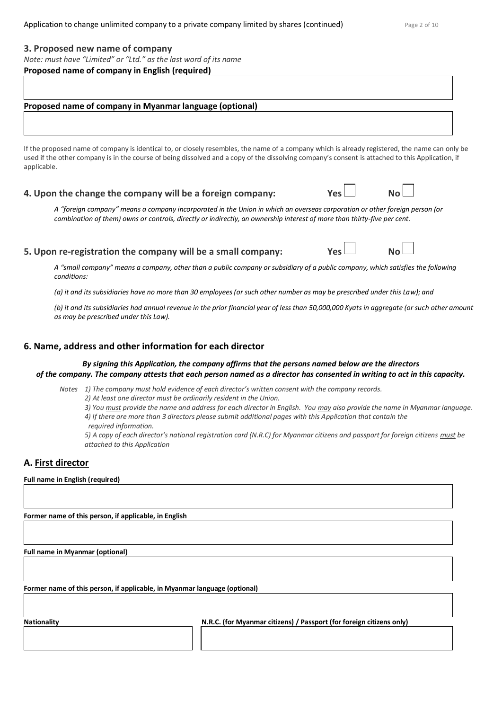### **3. Proposed new name of company**

*Note: must have "Limited" or "Ltd." as the last word of its name*

#### **Proposed name of company in English (required)**

### **Proposed name of company in Myanmar language (optional)**

If the proposed name of company is identical to, or closely resembles, the name of a company which is already registered, the name can only be used if the other company is in the course of being dissolved and a copy of the dissolving company's consent is attached to this Application, if applicable.

# **4. Upon the change the company will be a foreign company:** Yes

*A "foreign company" means a company incorporated in the Union in which an overseas corporation or other foreign person (or combination of them) owns or controls, directly or indirectly, an ownership interest of more than thirty-five per cent.*

# **5. Upon re-registration the company will be a small company: Yes**  $\Box$  **No**

*A "small company" means a company, other than a public company or subsidiary of a public company, which satisfies the following conditions:* 

*(a) it and its subsidiaries have no more than 30 employees (or such other number as may be prescribed under this Law); and*

*(b) it and its subsidiaries had annual revenue in the prior financial year of less than 50,000,000 Kyats in aggregate (or such other amount as may be prescribed under this Law).*

### **6. Name, address and other information for each director**

#### *By signing this Application, the company affirms that the persons named below are the directors of the company. The company attests that each person named as a director has consented in writing to act in this capacity.*

*Notes 1) The company must hold evidence of each director's written consent with the company records.*

*2) At least one director must be ordinarily resident in the Union.*

- *3) You must provide the name and address for each director in English. You may also provide the name in Myanmar language. 4) If there are more than 3 directors please submit additional pages with this Application that contain the*
- *required information.*

*5) A copy of each director's national registration card (N.R.C) for Myanmar citizens and passport for foreign citizens must be attached to this Application*

# **A. First director**

**Full name in English (required)**

**Former name of this person, if applicable, in English** 

**Full name in Myanmar (optional)**

**Former name of this person, if applicable, in Myanmar language (optional)**

**Nationality N.R.C. (for Myanmar citizens) / Passport (for foreign citizens only)**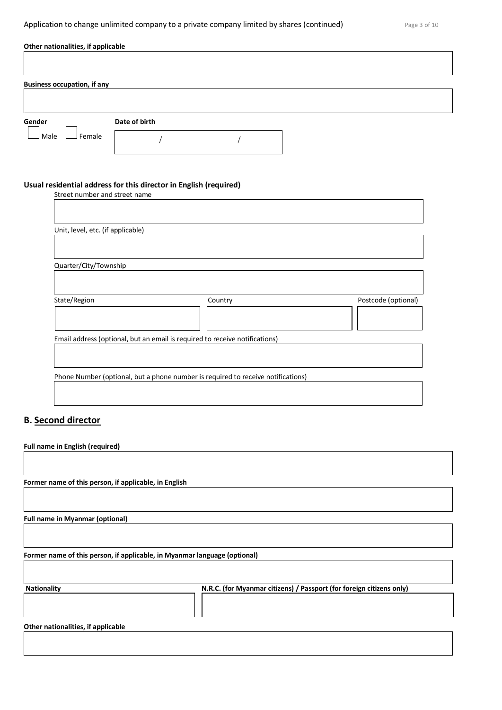# Application to change unlimited company to a private company limited by shares (continued) Page 3 of 10

| Other nationalities, if applicable |                                        |                                                                                  |         |                                                                      |                     |
|------------------------------------|----------------------------------------|----------------------------------------------------------------------------------|---------|----------------------------------------------------------------------|---------------------|
|                                    |                                        |                                                                                  |         |                                                                      |                     |
|                                    |                                        |                                                                                  |         |                                                                      |                     |
|                                    | <b>Business occupation, if any</b>     |                                                                                  |         |                                                                      |                     |
|                                    |                                        |                                                                                  |         |                                                                      |                     |
| Gender                             |                                        | Date of birth                                                                    |         |                                                                      |                     |
| Male                               | Female                                 |                                                                                  |         |                                                                      |                     |
|                                    |                                        |                                                                                  |         |                                                                      |                     |
|                                    |                                        |                                                                                  |         |                                                                      |                     |
|                                    |                                        | Usual residential address for this director in English (required)                |         |                                                                      |                     |
|                                    | Street number and street name          |                                                                                  |         |                                                                      |                     |
|                                    |                                        |                                                                                  |         |                                                                      |                     |
|                                    | Unit, level, etc. (if applicable)      |                                                                                  |         |                                                                      |                     |
|                                    |                                        |                                                                                  |         |                                                                      |                     |
|                                    | Quarter/City/Township                  |                                                                                  |         |                                                                      |                     |
|                                    |                                        |                                                                                  |         |                                                                      |                     |
|                                    |                                        |                                                                                  |         |                                                                      |                     |
|                                    | State/Region                           |                                                                                  | Country |                                                                      | Postcode (optional) |
|                                    |                                        |                                                                                  |         |                                                                      |                     |
|                                    |                                        | Email address (optional, but an email is required to receive notifications)      |         |                                                                      |                     |
|                                    |                                        |                                                                                  |         |                                                                      |                     |
|                                    |                                        |                                                                                  |         |                                                                      |                     |
|                                    |                                        | Phone Number (optional, but a phone number is required to receive notifications) |         |                                                                      |                     |
|                                    |                                        |                                                                                  |         |                                                                      |                     |
|                                    |                                        |                                                                                  |         |                                                                      |                     |
|                                    | <b>B.</b> Second director              |                                                                                  |         |                                                                      |                     |
|                                    | Full name in English (required)        |                                                                                  |         |                                                                      |                     |
|                                    |                                        |                                                                                  |         |                                                                      |                     |
|                                    |                                        |                                                                                  |         |                                                                      |                     |
|                                    |                                        | Former name of this person, if applicable, in English                            |         |                                                                      |                     |
|                                    |                                        |                                                                                  |         |                                                                      |                     |
|                                    | <b>Full name in Myanmar (optional)</b> |                                                                                  |         |                                                                      |                     |
|                                    |                                        |                                                                                  |         |                                                                      |                     |
|                                    |                                        | Former name of this person, if applicable, in Myanmar language (optional)        |         |                                                                      |                     |
|                                    |                                        |                                                                                  |         |                                                                      |                     |
|                                    |                                        |                                                                                  |         |                                                                      |                     |
| <b>Nationality</b>                 |                                        |                                                                                  |         | N.R.C. (for Myanmar citizens) / Passport (for foreign citizens only) |                     |
|                                    |                                        |                                                                                  |         |                                                                      |                     |
|                                    | Other nationalities, if applicable     |                                                                                  |         |                                                                      |                     |
|                                    |                                        |                                                                                  |         |                                                                      |                     |
|                                    |                                        |                                                                                  |         |                                                                      |                     |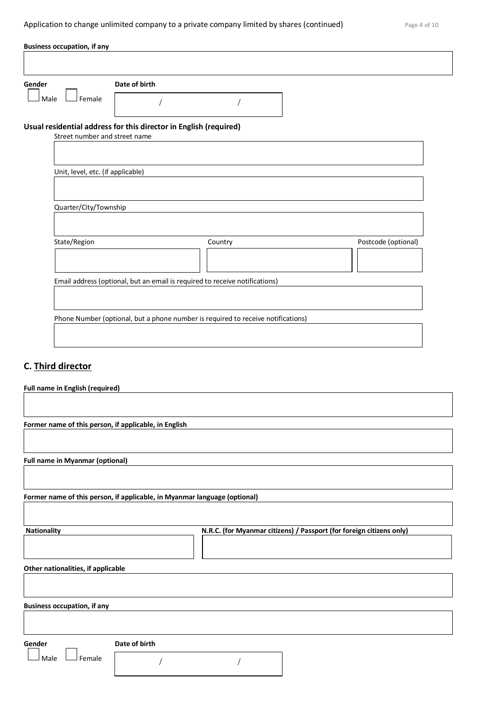| <b>Business occupation, if any</b>                                        |                                   |                                                                                  |  |         |  |                                                                      |  |
|---------------------------------------------------------------------------|-----------------------------------|----------------------------------------------------------------------------------|--|---------|--|----------------------------------------------------------------------|--|
|                                                                           |                                   |                                                                                  |  |         |  |                                                                      |  |
| Gender                                                                    |                                   | Date of birth                                                                    |  |         |  |                                                                      |  |
| Male                                                                      | Female                            |                                                                                  |  |         |  |                                                                      |  |
| Usual residential address for this director in English (required)         |                                   |                                                                                  |  |         |  |                                                                      |  |
|                                                                           |                                   | Street number and street name                                                    |  |         |  |                                                                      |  |
|                                                                           |                                   |                                                                                  |  |         |  |                                                                      |  |
|                                                                           | Unit, level, etc. (if applicable) |                                                                                  |  |         |  |                                                                      |  |
|                                                                           |                                   |                                                                                  |  |         |  |                                                                      |  |
|                                                                           | Quarter/City/Township             |                                                                                  |  |         |  |                                                                      |  |
|                                                                           |                                   |                                                                                  |  |         |  |                                                                      |  |
|                                                                           | State/Region                      |                                                                                  |  | Country |  | Postcode (optional)                                                  |  |
|                                                                           |                                   |                                                                                  |  |         |  |                                                                      |  |
|                                                                           |                                   |                                                                                  |  |         |  |                                                                      |  |
|                                                                           |                                   | Email address (optional, but an email is required to receive notifications)      |  |         |  |                                                                      |  |
|                                                                           |                                   |                                                                                  |  |         |  |                                                                      |  |
|                                                                           |                                   | Phone Number (optional, but a phone number is required to receive notifications) |  |         |  |                                                                      |  |
|                                                                           |                                   |                                                                                  |  |         |  |                                                                      |  |
|                                                                           |                                   |                                                                                  |  |         |  |                                                                      |  |
| C. Third director                                                         |                                   |                                                                                  |  |         |  |                                                                      |  |
| <b>Full name in English (required)</b>                                    |                                   |                                                                                  |  |         |  |                                                                      |  |
|                                                                           |                                   |                                                                                  |  |         |  |                                                                      |  |
|                                                                           |                                   |                                                                                  |  |         |  |                                                                      |  |
| Former name of this person, if applicable, in English                     |                                   |                                                                                  |  |         |  |                                                                      |  |
|                                                                           |                                   |                                                                                  |  |         |  |                                                                      |  |
| <b>Full name in Myanmar (optional)</b>                                    |                                   |                                                                                  |  |         |  |                                                                      |  |
|                                                                           |                                   |                                                                                  |  |         |  |                                                                      |  |
| Former name of this person, if applicable, in Myanmar language (optional) |                                   |                                                                                  |  |         |  |                                                                      |  |
|                                                                           |                                   |                                                                                  |  |         |  |                                                                      |  |
| <b>Nationality</b>                                                        |                                   |                                                                                  |  |         |  | N.R.C. (for Myanmar citizens) / Passport (for foreign citizens only) |  |
|                                                                           |                                   |                                                                                  |  |         |  |                                                                      |  |
| Other nationalities, if applicable                                        |                                   |                                                                                  |  |         |  |                                                                      |  |
|                                                                           |                                   |                                                                                  |  |         |  |                                                                      |  |
| <b>Business occupation, if any</b>                                        |                                   |                                                                                  |  |         |  |                                                                      |  |
|                                                                           |                                   |                                                                                  |  |         |  |                                                                      |  |

Gender **COLLECTION** Date of birth

 $\Box$  Male  $\Box$  Female

/ /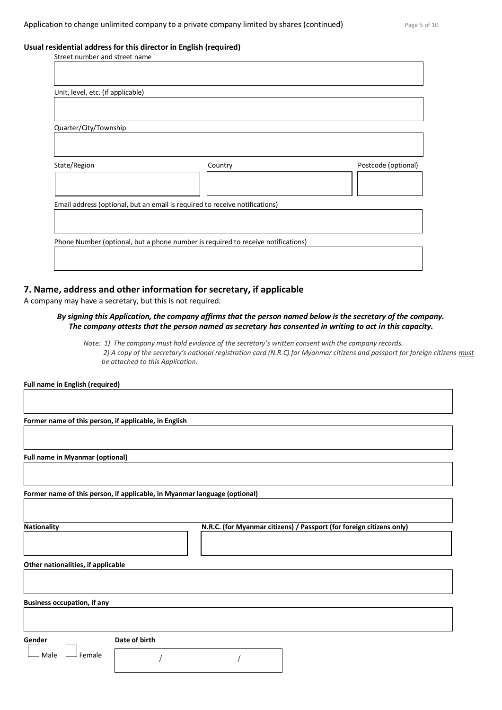#### **Usual residential address for this director in English (required)**

| Street number and street name                                                    |         |                     |
|----------------------------------------------------------------------------------|---------|---------------------|
|                                                                                  |         |                     |
|                                                                                  |         |                     |
| Unit, level, etc. (if applicable)                                                |         |                     |
|                                                                                  |         |                     |
|                                                                                  |         |                     |
|                                                                                  |         |                     |
| Quarter/City/Township                                                            |         |                     |
|                                                                                  |         |                     |
|                                                                                  |         |                     |
| State/Region                                                                     | Country | Postcode (optional) |
|                                                                                  |         |                     |
|                                                                                  |         |                     |
|                                                                                  |         |                     |
| Email address (optional, but an email is required to receive notifications)      |         |                     |
|                                                                                  |         |                     |
|                                                                                  |         |                     |
| Phone Number (optional, but a phone number is required to receive notifications) |         |                     |
|                                                                                  |         |                     |
|                                                                                  |         |                     |
|                                                                                  |         |                     |

### **7. Name, address and other information for secretary, if applicable**

A company may have a secretary, but this is not required.

#### *By signing this Application, the company affirms that the person named below is the secretary of the company. The company attests that the person named as secretary has consented in writing to act in this capacity.*

*Note: 1) The company must hold evidence of the secretary's written consent with the company records. 2) A copy of the secretary's national registration card (N.R.C) for Myanmar citizens and passport for foreign citizens must be attached to this Application.* 

 **Full name in English (required)**

**Former name of this person, if applicable, in English**

**Full name in Myanmar (optional)**

**Former name of this person, if applicable, in Myanmar language (optional)**

**Nationality N.R.C. (for Myanmar citizens) / Passport (for foreign citizens only)**

**Other nationalities, if applicable**

**Business occupation, if any**

**Gender Date of birth**

 $\Box$  Female

/ /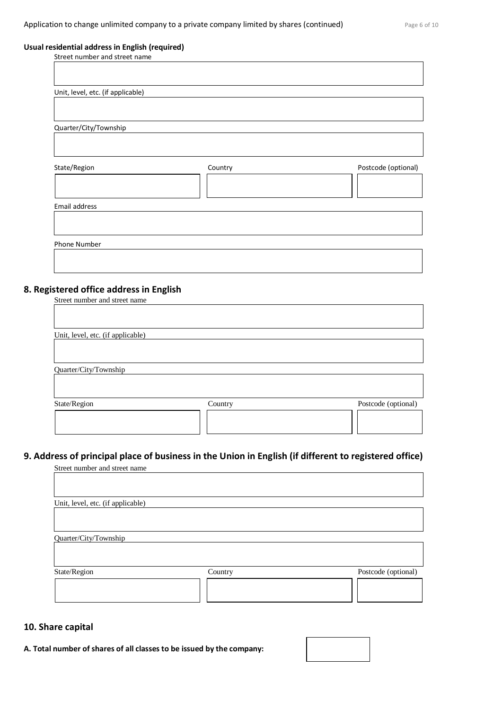#### **Usual residential address in English (required)**

| Street number and street name     |         |                     |
|-----------------------------------|---------|---------------------|
|                                   |         |                     |
|                                   |         |                     |
|                                   |         |                     |
| Unit, level, etc. (if applicable) |         |                     |
|                                   |         |                     |
|                                   |         |                     |
|                                   |         |                     |
| Quarter/City/Township             |         |                     |
|                                   |         |                     |
|                                   |         |                     |
|                                   |         |                     |
| State/Region                      | Country | Postcode (optional) |
|                                   |         |                     |
|                                   |         |                     |
|                                   |         |                     |
|                                   |         |                     |
| Email address                     |         |                     |
|                                   |         |                     |
|                                   |         |                     |
|                                   |         |                     |
| Phone Number                      |         |                     |
|                                   |         |                     |
|                                   |         |                     |
|                                   |         |                     |

# **8. Registered office address in English**

| Street number and street name     |         |                     |
|-----------------------------------|---------|---------------------|
|                                   |         |                     |
|                                   |         |                     |
| Unit, level, etc. (if applicable) |         |                     |
|                                   |         |                     |
|                                   |         |                     |
| Quarter/City/Township             |         |                     |
|                                   |         |                     |
|                                   |         |                     |
| State/Region                      | Country | Postcode (optional) |
|                                   |         |                     |
|                                   |         |                     |
|                                   |         |                     |

# **9. Address of principal place of business in the Union in English (if different to registered office)**

| Street number and street name     |         |                     |
|-----------------------------------|---------|---------------------|
|                                   |         |                     |
| Unit, level, etc. (if applicable) |         |                     |
|                                   |         |                     |
| Quarter/City/Township             |         |                     |
| State/Region                      | Country | Postcode (optional) |
|                                   |         |                     |

# **10. Share capital**

**A. Total number of shares of all classes to be issued by the company:**

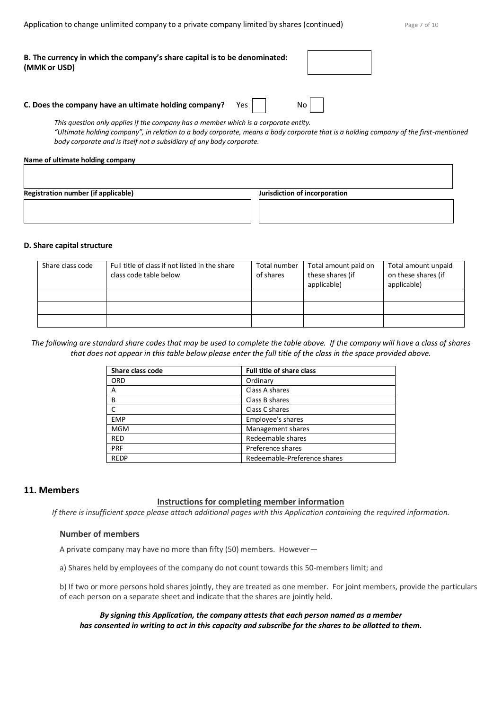| B. The currency in which the company's share capital is to be denominated:<br>(MMK or USD) |  |  |  |
|--------------------------------------------------------------------------------------------|--|--|--|
|                                                                                            |  |  |  |

#### **C. Does the company have an ultimate holding company?** Yes | | No

*This question only applies if the company has a member which is a corporate entity. "Ultimate holding company", in relation to a body corporate, means a body corporate that is a holding company of the first-mentioned body corporate and is itself not a subsidiary of any body corporate.*

#### **Name of ultimate holding company**

| <b>Registration number (if applicable)</b><br>Jurisdiction of incorporation |  |  |  |  |
|-----------------------------------------------------------------------------|--|--|--|--|
|                                                                             |  |  |  |  |
|                                                                             |  |  |  |  |

#### **D. Share capital structure**

| Share class code | Full title of class if not listed in the share | Total number | Total amount paid on | Total amount unpaid |
|------------------|------------------------------------------------|--------------|----------------------|---------------------|
|                  | class code table below                         | of shares    | these shares (if     | on these shares (if |
|                  |                                                |              | applicable)          | applicable)         |
|                  |                                                |              |                      |                     |
|                  |                                                |              |                      |                     |
|                  |                                                |              |                      |                     |

*The following are standard share codes that may be used to complete the table above. If the company will have a class of shares that does not appear in this table below please enter the full title of the class in the space provided above.*

| Share class code | <b>Full title of share class</b> |
|------------------|----------------------------------|
| <b>ORD</b>       | Ordinary                         |
| А                | Class A shares                   |
| B                | Class B shares                   |
|                  | Class C shares                   |
| <b>EMP</b>       | Employee's shares                |
| <b>MGM</b>       | Management shares                |
| <b>RED</b>       | Redeemable shares                |
| PRF              | Preference shares                |
| <b>REDP</b>      | Redeemable-Preference shares     |

#### **11. Members**

#### **Instructions for completing member information**

*If there is insufficient space please attach additional pages with this Application containing the required information.*

### **Number of members**

A private company may have no more than fifty (50) members. However—

a) Shares held by employees of the company do not count towards this 50-members limit; and

b) If two or more persons hold shares jointly, they are treated as one member. For joint members, provide the particulars of each person on a separate sheet and indicate that the shares are jointly held.

#### *By signing this Application, the company attests that each person named as a member has consented in writing to act in this capacity and subscribe for the shares to be allotted to them.*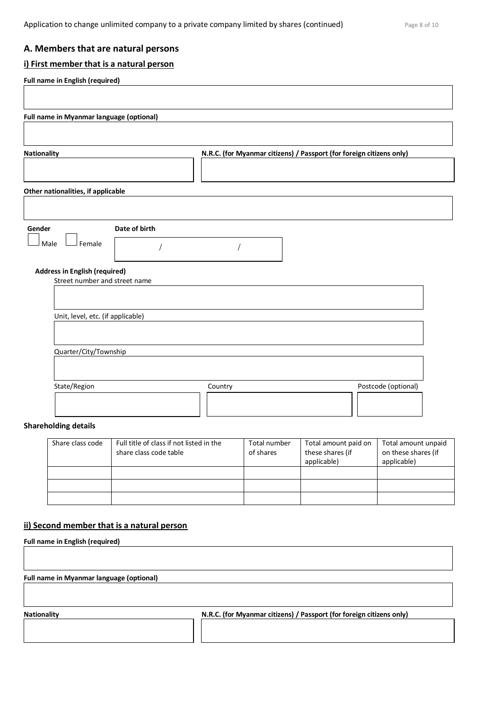# **A. Members that are natural persons**

# **i) First member that is a natural person**

| <b>Nationality</b>                                                    |               | N.R.C. (for Myanmar citizens) / Passport (for foreign citizens only) |  |
|-----------------------------------------------------------------------|---------------|----------------------------------------------------------------------|--|
| Other nationalities, if applicable                                    |               |                                                                      |  |
|                                                                       |               |                                                                      |  |
| Gender<br>Male<br>Female                                              | Date of birth |                                                                      |  |
| <b>Address in English (required)</b><br>Street number and street name |               |                                                                      |  |
|                                                                       |               |                                                                      |  |
|                                                                       |               |                                                                      |  |
| Unit, level, etc. (if applicable)                                     |               |                                                                      |  |
| Quarter/City/Township                                                 |               |                                                                      |  |

# **Shareholding details**

| Share class code | Full title of class if not listed in the<br>share class code table | Total number<br>of shares | Total amount paid on<br>these shares (if<br>applicable) | Total amount unpaid<br>on these shares (if<br>applicable) |
|------------------|--------------------------------------------------------------------|---------------------------|---------------------------------------------------------|-----------------------------------------------------------|
|                  |                                                                    |                           |                                                         |                                                           |
|                  |                                                                    |                           |                                                         |                                                           |
|                  |                                                                    |                           |                                                         |                                                           |

# **ii) Second member that is a natural person**

| <b>Full name in English (required)</b>          |                                                                      |
|-------------------------------------------------|----------------------------------------------------------------------|
|                                                 |                                                                      |
|                                                 |                                                                      |
| <b>Full name in Myanmar language (optional)</b> |                                                                      |
|                                                 |                                                                      |
|                                                 |                                                                      |
| <b>Nationality</b>                              | N.R.C. (for Myanmar citizens) / Passport (for foreign citizens only) |
|                                                 |                                                                      |
|                                                 |                                                                      |
|                                                 |                                                                      |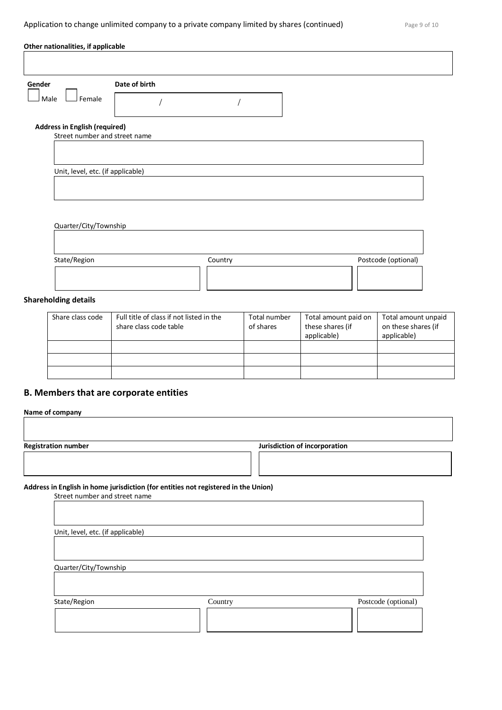| Male<br>Female<br><b>Address in English (required)</b><br>Street number and street name<br>Unit, level, etc. (if applicable)<br>Quarter/City/Township<br>State/Region<br>Postcode (optional)<br>Country<br>Full title of class if not listed in the<br>Share class code<br>Total number<br>Total amount paid on<br>Total amount unpaid<br>on these shares (if<br>these shares (if<br>of shares<br>share class code table | Gender | Date of birth |  |             |  |
|--------------------------------------------------------------------------------------------------------------------------------------------------------------------------------------------------------------------------------------------------------------------------------------------------------------------------------------------------------------------------------------------------------------------------|--------|---------------|--|-------------|--|
|                                                                                                                                                                                                                                                                                                                                                                                                                          |        |               |  |             |  |
|                                                                                                                                                                                                                                                                                                                                                                                                                          |        |               |  |             |  |
|                                                                                                                                                                                                                                                                                                                                                                                                                          |        |               |  |             |  |
|                                                                                                                                                                                                                                                                                                                                                                                                                          |        |               |  |             |  |
| <b>Shareholding details</b>                                                                                                                                                                                                                                                                                                                                                                                              |        |               |  |             |  |
|                                                                                                                                                                                                                                                                                                                                                                                                                          |        |               |  |             |  |
|                                                                                                                                                                                                                                                                                                                                                                                                                          |        |               |  |             |  |
|                                                                                                                                                                                                                                                                                                                                                                                                                          |        |               |  |             |  |
|                                                                                                                                                                                                                                                                                                                                                                                                                          |        |               |  |             |  |
|                                                                                                                                                                                                                                                                                                                                                                                                                          |        |               |  |             |  |
|                                                                                                                                                                                                                                                                                                                                                                                                                          |        |               |  |             |  |
| applicable)                                                                                                                                                                                                                                                                                                                                                                                                              |        |               |  |             |  |
|                                                                                                                                                                                                                                                                                                                                                                                                                          |        |               |  | applicable) |  |

# **B. Members that are corporate entities**

| <b>Registration number</b>                                                                                          |         | Jurisdiction of incorporation |                     |
|---------------------------------------------------------------------------------------------------------------------|---------|-------------------------------|---------------------|
| Address in English in home jurisdiction (for entities not registered in the Union)<br>Street number and street name |         |                               |                     |
|                                                                                                                     |         |                               |                     |
|                                                                                                                     |         |                               |                     |
| Unit, level, etc. (if applicable)                                                                                   |         |                               |                     |
|                                                                                                                     |         |                               |                     |
| Quarter/City/Township                                                                                               |         |                               |                     |
|                                                                                                                     |         |                               |                     |
| State/Region                                                                                                        | Country |                               | Postcode (optional) |
|                                                                                                                     |         |                               |                     |
|                                                                                                                     |         |                               |                     |